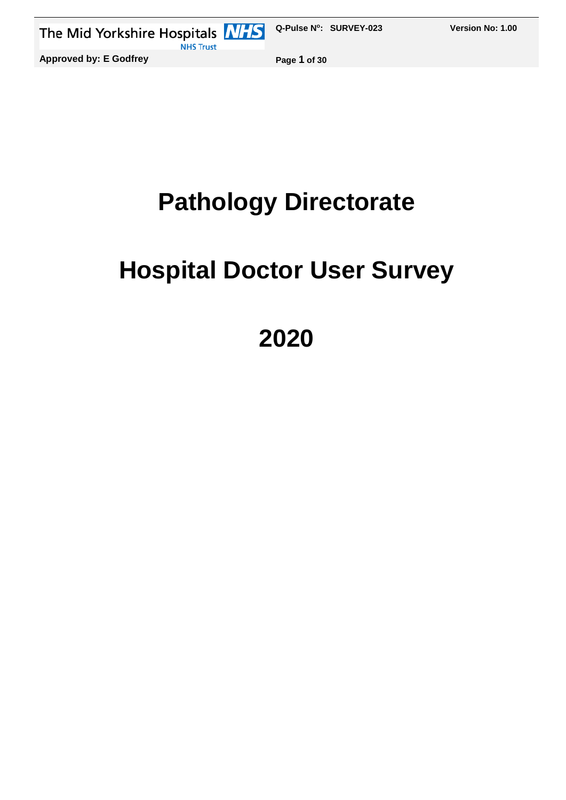

# **Pathology Directorate**

# **Hospital Doctor User Survey**

**2020**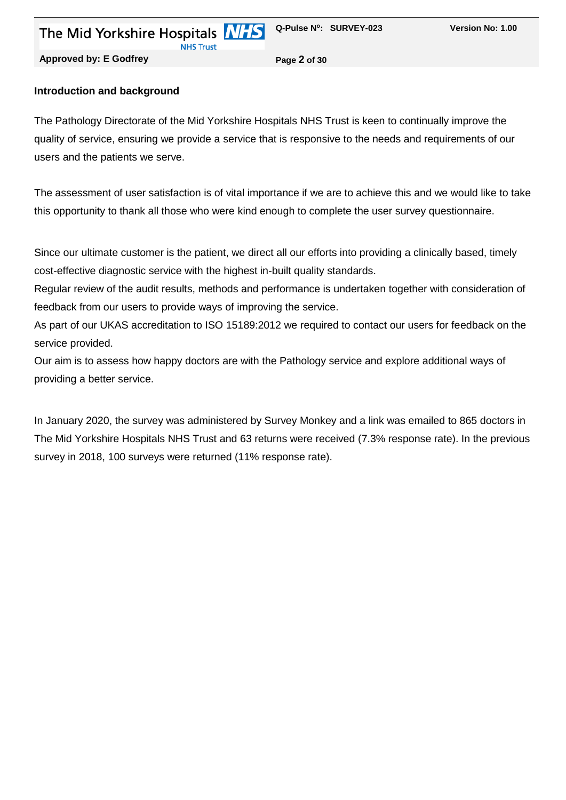**Approved by: E Godfrey Page 2 of 30**

#### **Introduction and background**

The Pathology Directorate of the Mid Yorkshire Hospitals NHS Trust is keen to continually improve the quality of service, ensuring we provide a service that is responsive to the needs and requirements of our users and the patients we serve.

The assessment of user satisfaction is of vital importance if we are to achieve this and we would like to take this opportunity to thank all those who were kind enough to complete the user survey questionnaire.

Since our ultimate customer is the patient, we direct all our efforts into providing a clinically based, timely cost-effective diagnostic service with the highest in-built quality standards.

Regular review of the audit results, methods and performance is undertaken together with consideration of feedback from our users to provide ways of improving the service.

As part of our UKAS accreditation to ISO 15189:2012 we required to contact our users for feedback on the service provided.

Our aim is to assess how happy doctors are with the Pathology service and explore additional ways of providing a better service.

In January 2020, the survey was administered by Survey Monkey and a link was emailed to 865 doctors in The Mid Yorkshire Hospitals NHS Trust and 63 returns were received (7.3% response rate). In the previous survey in 2018, 100 surveys were returned (11% response rate).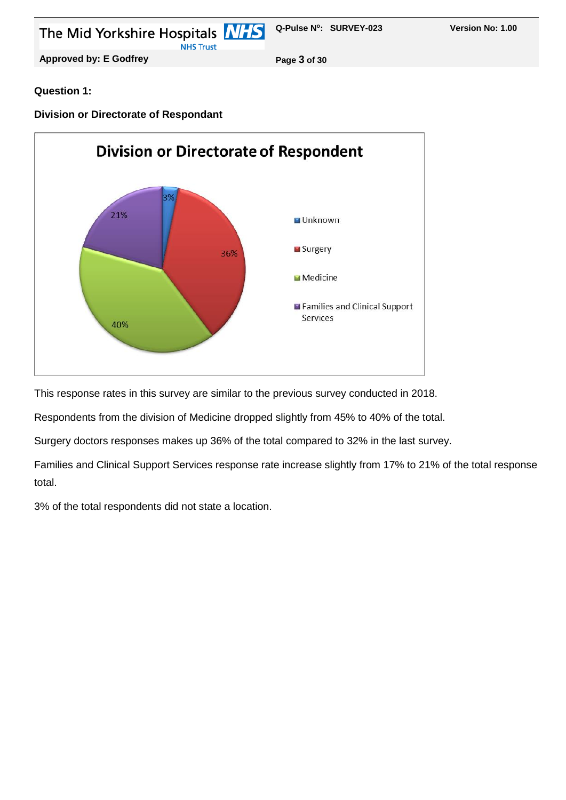

#### **Question 1:**

#### **Division or Directorate of Respondant**



This response rates in this survey are similar to the previous survey conducted in 2018.

Respondents from the division of Medicine dropped slightly from 45% to 40% of the total.

Surgery doctors responses makes up 36% of the total compared to 32% in the last survey.

Families and Clinical Support Services response rate increase slightly from 17% to 21% of the total response total.

3% of the total respondents did not state a location.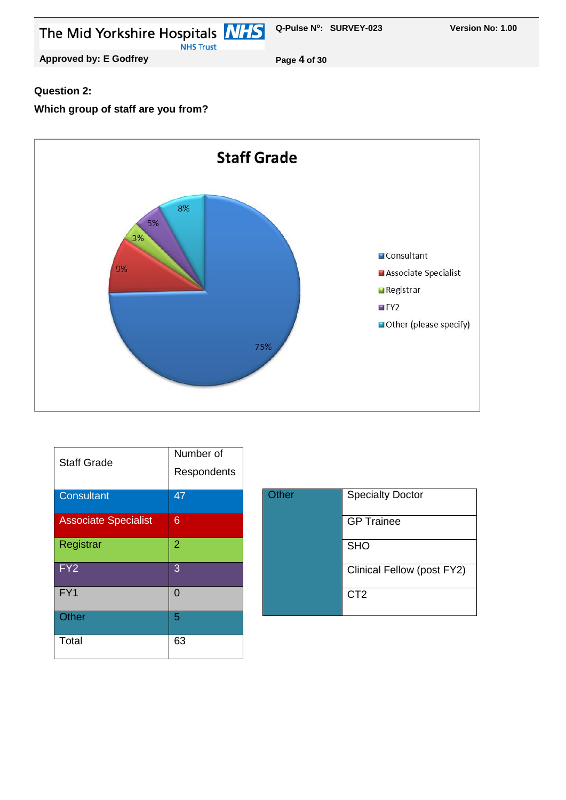

#### **Question 2:**

### **Which group of staff are you from?**



| <b>Staff Grade</b>          | Number of<br>Respondents |
|-----------------------------|--------------------------|
| <b>Consultant</b>           | 47                       |
| <b>Associate Specialist</b> | 6                        |
| Registrar                   | $\overline{2}$           |
| FY <sub>2</sub>             | 3                        |
| FY1                         | 0                        |
| Other                       | 5                        |
| Total                       | 63                       |

| <b>Other</b> | <b>Specialty Doctor</b>    |
|--------------|----------------------------|
|              | <b>GP</b> Trainee          |
|              | <b>SHO</b>                 |
|              | Clinical Fellow (post FY2) |
|              | CT <sub>2</sub>            |
|              |                            |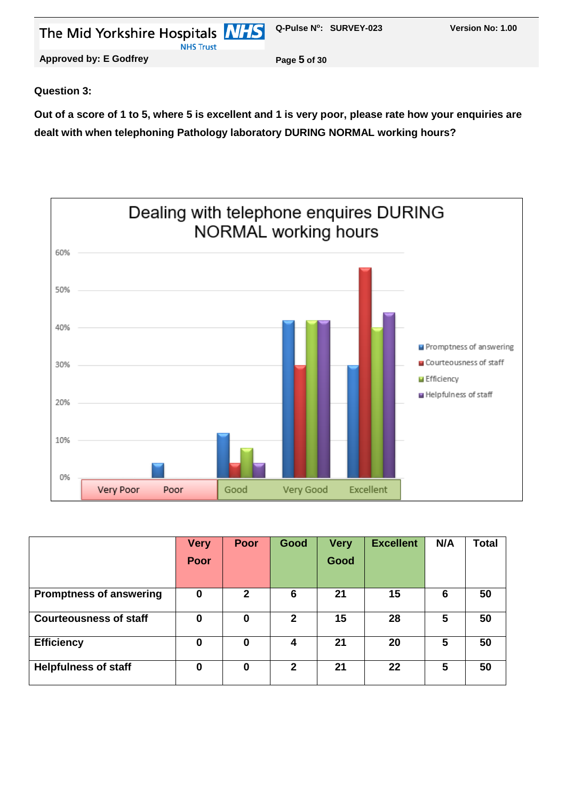| The Mid Yorkshire Hospitals <b>MHS</b> Q-Pulse N°: SURVEY-023<br><b>NHS Trust</b> |              | Version No: 1.00 |
|-----------------------------------------------------------------------------------|--------------|------------------|
| <b>Approved by: E Godfrey</b>                                                     | Page 5 of 30 |                  |

#### **Question 3:**

**Out of a score of 1 to 5, where 5 is excellent and 1 is very poor, please rate how your enquiries are dealt with when telephoning Pathology laboratory DURING NORMAL working hours?**



|                                | <b>Very</b> | <b>Poor</b>  | Good         | <b>Very</b> | <b>Excellent</b> | N/A | Total |
|--------------------------------|-------------|--------------|--------------|-------------|------------------|-----|-------|
|                                | Poor        |              |              | Good        |                  |     |       |
|                                |             |              |              |             |                  |     |       |
| <b>Promptness of answering</b> | 0           | $\mathbf{2}$ | 6            | 21          | 15               | 6   | 50    |
| <b>Courteousness of staff</b>  | 0           | 0            | $\mathbf{2}$ | 15          | 28               | 5   | 50    |
| <b>Efficiency</b>              | 0           | 0            | 4            | 21          | 20               | 5   | 50    |
| <b>Helpfulness of staff</b>    | 0           | 0            | $\mathbf{2}$ | 21          | 22               | 5   | 50    |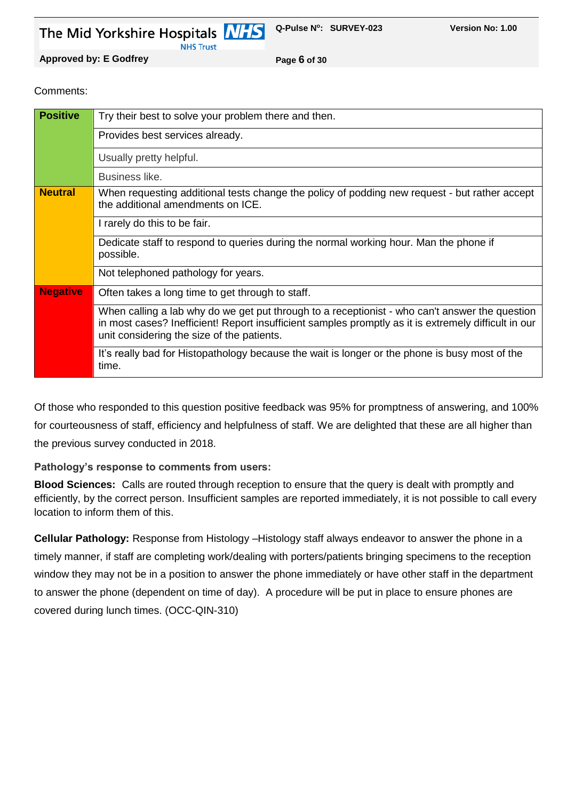**NHS Trust** 

**Q-Pulse N<sup>o</sup> : SURVEY-023 Version No: 1.00** 

**Approved by: E Godfrey Page 6 of 30**

Comments:

| <b>Positive</b> | Try their best to solve your problem there and then.                                                                                                                                                                                                 |
|-----------------|------------------------------------------------------------------------------------------------------------------------------------------------------------------------------------------------------------------------------------------------------|
|                 | Provides best services already.                                                                                                                                                                                                                      |
|                 | Usually pretty helpful.                                                                                                                                                                                                                              |
|                 | Business like.                                                                                                                                                                                                                                       |
| <b>Neutral</b>  | When requesting additional tests change the policy of podding new request - but rather accept<br>the additional amendments on ICE.                                                                                                                   |
|                 | I rarely do this to be fair.                                                                                                                                                                                                                         |
|                 | Dedicate staff to respond to queries during the normal working hour. Man the phone if<br>possible.                                                                                                                                                   |
|                 | Not telephoned pathology for years.                                                                                                                                                                                                                  |
| <b>Negative</b> | Often takes a long time to get through to staff.                                                                                                                                                                                                     |
|                 | When calling a lab why do we get put through to a receptionist - who can't answer the question<br>in most cases? Inefficient! Report insufficient samples promptly as it is extremely difficult in our<br>unit considering the size of the patients. |
|                 | It's really bad for Histopathology because the wait is longer or the phone is busy most of the<br>time.                                                                                                                                              |

Of those who responded to this question positive feedback was 95% for promptness of answering, and 100% for courteousness of staff, efficiency and helpfulness of staff. We are delighted that these are all higher than the previous survey conducted in 2018.

**Pathology's response to comments from users:**

**Blood Sciences:** Calls are routed through reception to ensure that the query is dealt with promptly and efficiently, by the correct person. Insufficient samples are reported immediately, it is not possible to call every location to inform them of this.

**Cellular Pathology:** Response from Histology –Histology staff always endeavor to answer the phone in a timely manner, if staff are completing work/dealing with porters/patients bringing specimens to the reception window they may not be in a position to answer the phone immediately or have other staff in the department to answer the phone (dependent on time of day). A procedure will be put in place to ensure phones are covered during lunch times. (OCC-QIN-310)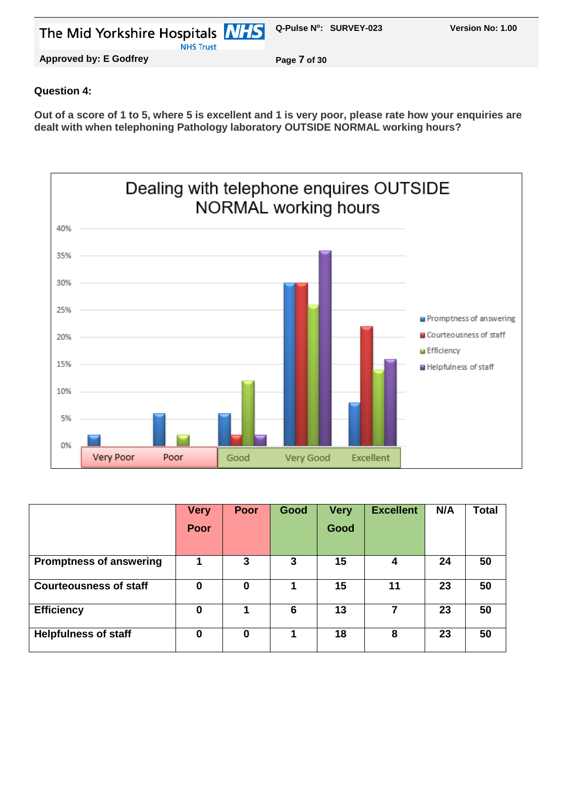| The Mid Yorkshire Hospitals <b>NHS</b> Q-Pulse N°: SURVEY-023 |              | <b>Version No: 1.00</b> |
|---------------------------------------------------------------|--------------|-------------------------|
| <b>NHS Trust</b>                                              |              |                         |
| Approved by: E Godfrey                                        | Page 7 of 30 |                         |

#### **Question 4:**

**Out of a score of 1 to 5, where 5 is excellent and 1 is very poor, please rate how your enquiries are dealt with when telephoning Pathology laboratory OUTSIDE NORMAL working hours?**



|                                | <b>Very</b> | <b>Poor</b> | Good | <b>Very</b> | <b>Excellent</b> | N/A | <b>Total</b> |
|--------------------------------|-------------|-------------|------|-------------|------------------|-----|--------------|
|                                | Poor        |             |      | Good        |                  |     |              |
|                                |             |             |      |             |                  |     |              |
| <b>Promptness of answering</b> |             | 3           | 3    | 15          |                  | 24  | 50           |
| <b>Courteousness of staff</b>  | 0           | 0           |      | 15          | 11               | 23  | 50           |
| <b>Efficiency</b>              | 0           |             | 6    | 13          | 7                | 23  | 50           |
| <b>Helpfulness of staff</b>    | 0           | 0           |      | 18          | 8                | 23  | 50           |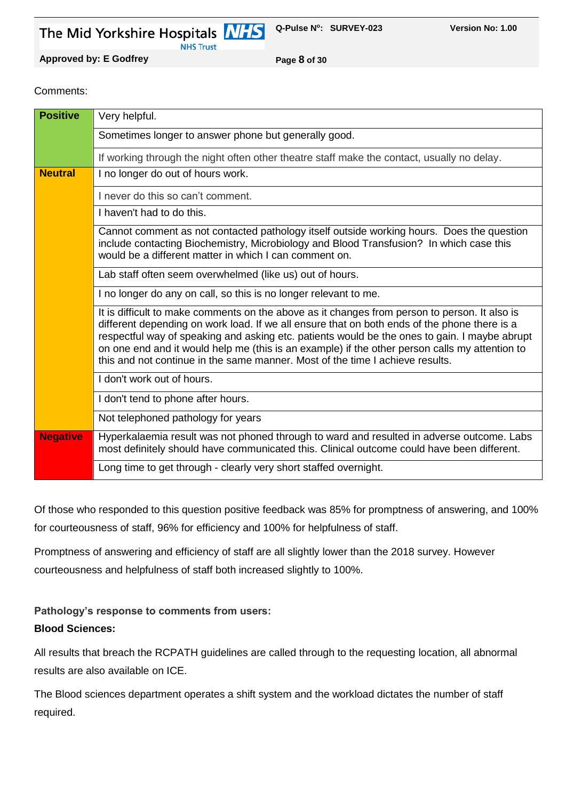**NHS Trust** 

**Q-Pulse N<sup>o</sup> : SURVEY-023 Version No: 1.00** 

**Approved by: E Godfrey Page 8 of 30**

#### Comments:

| <b>Positive</b> | Very helpful.                                                                                                                                                                                                                                                                                                                                                                                                                                                                     |
|-----------------|-----------------------------------------------------------------------------------------------------------------------------------------------------------------------------------------------------------------------------------------------------------------------------------------------------------------------------------------------------------------------------------------------------------------------------------------------------------------------------------|
|                 | Sometimes longer to answer phone but generally good.                                                                                                                                                                                                                                                                                                                                                                                                                              |
|                 | If working through the night often other theatre staff make the contact, usually no delay.                                                                                                                                                                                                                                                                                                                                                                                        |
| <b>Neutral</b>  | I no longer do out of hours work.                                                                                                                                                                                                                                                                                                                                                                                                                                                 |
|                 | I never do this so can't comment.                                                                                                                                                                                                                                                                                                                                                                                                                                                 |
|                 | I haven't had to do this.                                                                                                                                                                                                                                                                                                                                                                                                                                                         |
|                 | Cannot comment as not contacted pathology itself outside working hours. Does the question<br>include contacting Biochemistry, Microbiology and Blood Transfusion? In which case this<br>would be a different matter in which I can comment on.                                                                                                                                                                                                                                    |
|                 | Lab staff often seem overwhelmed (like us) out of hours.                                                                                                                                                                                                                                                                                                                                                                                                                          |
|                 | I no longer do any on call, so this is no longer relevant to me.                                                                                                                                                                                                                                                                                                                                                                                                                  |
|                 | It is difficult to make comments on the above as it changes from person to person. It also is<br>different depending on work load. If we all ensure that on both ends of the phone there is a<br>respectful way of speaking and asking etc. patients would be the ones to gain. I maybe abrupt<br>on one end and it would help me (this is an example) if the other person calls my attention to<br>this and not continue in the same manner. Most of the time I achieve results. |
|                 | I don't work out of hours.                                                                                                                                                                                                                                                                                                                                                                                                                                                        |
|                 | I don't tend to phone after hours.                                                                                                                                                                                                                                                                                                                                                                                                                                                |
|                 | Not telephoned pathology for years                                                                                                                                                                                                                                                                                                                                                                                                                                                |
| <b>Negative</b> | Hyperkalaemia result was not phoned through to ward and resulted in adverse outcome. Labs<br>most definitely should have communicated this. Clinical outcome could have been different.                                                                                                                                                                                                                                                                                           |
|                 | Long time to get through - clearly very short staffed overnight.                                                                                                                                                                                                                                                                                                                                                                                                                  |

Of those who responded to this question positive feedback was 85% for promptness of answering, and 100% for courteousness of staff, 96% for efficiency and 100% for helpfulness of staff.

Promptness of answering and efficiency of staff are all slightly lower than the 2018 survey. However courteousness and helpfulness of staff both increased slightly to 100%.

# **Pathology's response to comments from users:**

#### **Blood Sciences:**

All results that breach the RCPATH guidelines are called through to the requesting location, all abnormal results are also available on ICE.

The Blood sciences department operates a shift system and the workload dictates the number of staff required.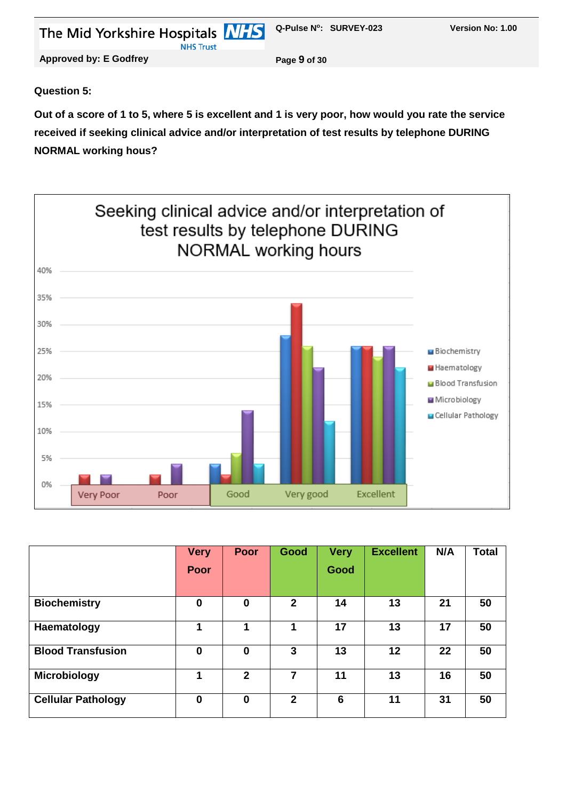| The Mid Yorkshire Hospitals <b>NHS</b> Q-Pulse N°: SURVEY-023<br><b>NHS Trust</b> |              | Version No: 1.00 |
|-----------------------------------------------------------------------------------|--------------|------------------|
| <b>Approved by: E Godfrey</b>                                                     | Page 9 of 30 |                  |
|                                                                                   |              |                  |

#### **Question 5:**

**Out of a score of 1 to 5, where 5 is excellent and 1 is very poor, how would you rate the service received if seeking clinical advice and/or interpretation of test results by telephone DURING NORMAL working hous?**



|                           | <b>Very</b> | <b>Poor</b>    | Good           | <b>Very</b> | <b>Excellent</b>  | N/A | <b>Total</b> |
|---------------------------|-------------|----------------|----------------|-------------|-------------------|-----|--------------|
|                           | Poor        |                |                | Good        |                   |     |              |
|                           |             |                |                |             |                   |     |              |
| <b>Biochemistry</b>       | $\mathbf 0$ | 0              | $\overline{2}$ | 14          | 13                | 21  | 50           |
| Haematology               | 1           | 1              | 1              | 17          | 13                | 17  | 50           |
| <b>Blood Transfusion</b>  | $\bf{0}$    | $\bf{0}$       | 3              | 13          | $12 \overline{ }$ | 22  | 50           |
| <b>Microbiology</b>       | 1           | $\overline{2}$ | 7              | 11          | 13                | 16  | 50           |
| <b>Cellular Pathology</b> | $\mathbf 0$ | $\bf{0}$       | $\mathbf{2}$   | 6           | 11                | 31  | 50           |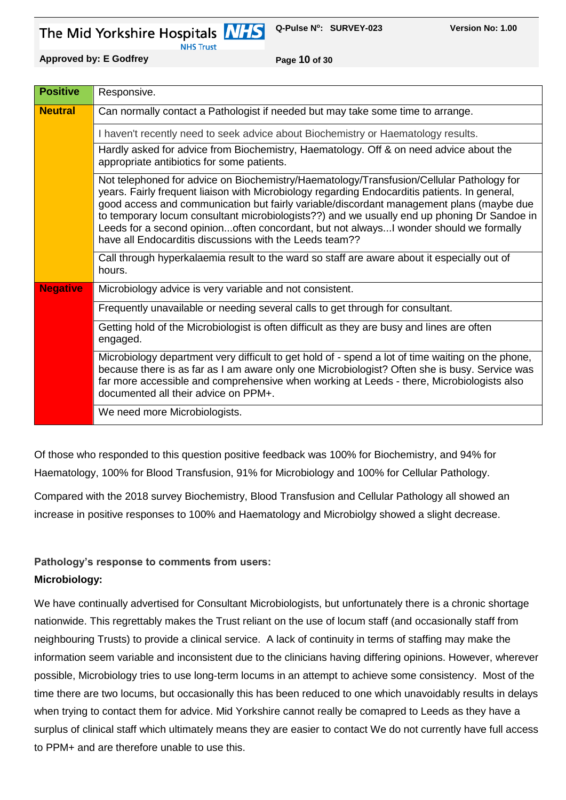**NHS Trust** 

**Approved by: E Godfrey Page 10 of 30**

| <b>Positive</b> | Responsive.                                                                                                                                                                                                                                                                                                                                                                                                                                                                                                                              |
|-----------------|------------------------------------------------------------------------------------------------------------------------------------------------------------------------------------------------------------------------------------------------------------------------------------------------------------------------------------------------------------------------------------------------------------------------------------------------------------------------------------------------------------------------------------------|
| <b>Neutral</b>  | Can normally contact a Pathologist if needed but may take some time to arrange.                                                                                                                                                                                                                                                                                                                                                                                                                                                          |
|                 | I haven't recently need to seek advice about Biochemistry or Haematology results.                                                                                                                                                                                                                                                                                                                                                                                                                                                        |
|                 | Hardly asked for advice from Biochemistry, Haematology. Off & on need advice about the<br>appropriate antibiotics for some patients.                                                                                                                                                                                                                                                                                                                                                                                                     |
|                 | Not telephoned for advice on Biochemistry/Haematology/Transfusion/Cellular Pathology for<br>years. Fairly frequent liaison with Microbiology regarding Endocarditis patients. In general,<br>good access and communication but fairly variable/discordant management plans (maybe due<br>to temporary locum consultant microbiologists??) and we usually end up phoning Dr Sandoe in<br>Leeds for a second opinionoften concordant, but not alwaysI wonder should we formally<br>have all Endocarditis discussions with the Leeds team?? |
|                 | Call through hyperkalaemia result to the ward so staff are aware about it especially out of<br>hours.                                                                                                                                                                                                                                                                                                                                                                                                                                    |
| <b>Negative</b> | Microbiology advice is very variable and not consistent.                                                                                                                                                                                                                                                                                                                                                                                                                                                                                 |
|                 | Frequently unavailable or needing several calls to get through for consultant.                                                                                                                                                                                                                                                                                                                                                                                                                                                           |
|                 | Getting hold of the Microbiologist is often difficult as they are busy and lines are often<br>engaged.                                                                                                                                                                                                                                                                                                                                                                                                                                   |
|                 | Microbiology department very difficult to get hold of - spend a lot of time waiting on the phone,<br>because there is as far as I am aware only one Microbiologist? Often she is busy. Service was<br>far more accessible and comprehensive when working at Leeds - there, Microbiologists also<br>documented all their advice on PPM+.                                                                                                                                                                                                  |
|                 | We need more Microbiologists.                                                                                                                                                                                                                                                                                                                                                                                                                                                                                                            |

Of those who responded to this question positive feedback was 100% for Biochemistry, and 94% for Haematology, 100% for Blood Transfusion, 91% for Microbiology and 100% for Cellular Pathology.

Compared with the 2018 survey Biochemistry, Blood Transfusion and Cellular Pathology all showed an increase in positive responses to 100% and Haematology and Microbiolgy showed a slight decrease.

# **Pathology's response to comments from users:**

# **Microbiology:**

We have continually advertised for Consultant Microbiologists, but unfortunately there is a chronic shortage nationwide. This regrettably makes the Trust reliant on the use of locum staff (and occasionally staff from neighbouring Trusts) to provide a clinical service. A lack of continuity in terms of staffing may make the information seem variable and inconsistent due to the clinicians having differing opinions. However, wherever possible, Microbiology tries to use long-term locums in an attempt to achieve some consistency. Most of the time there are two locums, but occasionally this has been reduced to one which unavoidably results in delays when trying to contact them for advice. Mid Yorkshire cannot really be comapred to Leeds as they have a surplus of clinical staff which ultimately means they are easier to contact We do not currently have full access to PPM+ and are therefore unable to use this.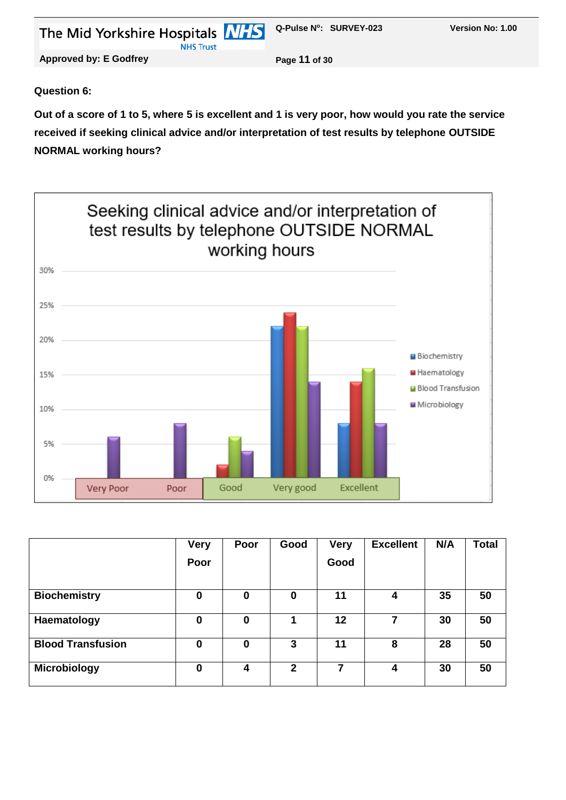| The Mid Yorkshire Hospitals <b>NHS</b><br><b>NHS Trust</b> | Q-Pulse N°: SURVEY-023 | Version No: 1.00 |
|------------------------------------------------------------|------------------------|------------------|
| <b>Approved by: E Godfrey</b>                              | Page 11 of 30          |                  |
|                                                            |                        |                  |

#### **Question 6:**

**Out of a score of 1 to 5, where 5 is excellent and 1 is very poor, how would you rate the service received if seeking clinical advice and/or interpretation of test results by telephone OUTSIDE NORMAL working hours?**



|                          | <b>Very</b> | Poor | Good         | <b>Very</b> | <b>Excellent</b> | N/A | <b>Total</b> |
|--------------------------|-------------|------|--------------|-------------|------------------|-----|--------------|
|                          | Poor        |      |              | Good        |                  |     |              |
|                          |             |      |              |             |                  |     |              |
| <b>Biochemistry</b>      | $\bf{0}$    | 0    | 0            | 11          | 4                | 35  | 50           |
| Haematology              | $\bf{0}$    | 0    |              | 12          |                  | 30  | 50           |
| <b>Blood Transfusion</b> | $\bf{0}$    | 0    | 3            | 11          | 8                | 28  | 50           |
| <b>Microbiology</b>      | $\bf{0}$    | 4    | $\mathbf{2}$ | 7           | 4                | 30  | 50           |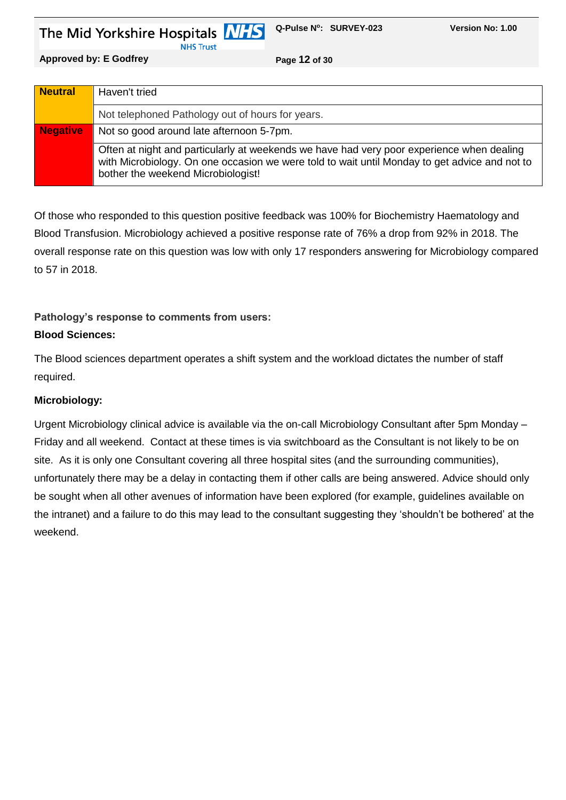**NHS Trust** 

**Approved by: E Godfrey Page 12 of 30**

| <b>Neutral</b>  | Haven't tried                                                                                                                                                                                                                    |
|-----------------|----------------------------------------------------------------------------------------------------------------------------------------------------------------------------------------------------------------------------------|
|                 | Not telephoned Pathology out of hours for years.                                                                                                                                                                                 |
| <b>Negative</b> | Not so good around late afternoon 5-7pm.                                                                                                                                                                                         |
|                 | Often at night and particularly at weekends we have had very poor experience when dealing<br>with Microbiology. On one occasion we were told to wait until Monday to get advice and not to<br>bother the weekend Microbiologist! |

Of those who responded to this question positive feedback was 100% for Biochemistry Haematology and Blood Transfusion. Microbiology achieved a positive response rate of 76% a drop from 92% in 2018. The overall response rate on this question was low with only 17 responders answering for Microbiology compared to 57 in 2018.

#### **Pathology's response to comments from users:**

#### **Blood Sciences:**

The Blood sciences department operates a shift system and the workload dictates the number of staff required.

#### **Microbiology:**

Urgent Microbiology clinical advice is available via the on-call Microbiology Consultant after 5pm Monday – Friday and all weekend. Contact at these times is via switchboard as the Consultant is not likely to be on site. As it is only one Consultant covering all three hospital sites (and the surrounding communities), unfortunately there may be a delay in contacting them if other calls are being answered. Advice should only be sought when all other avenues of information have been explored (for example, guidelines available on the intranet) and a failure to do this may lead to the consultant suggesting they 'shouldn't be bothered' at the weekend.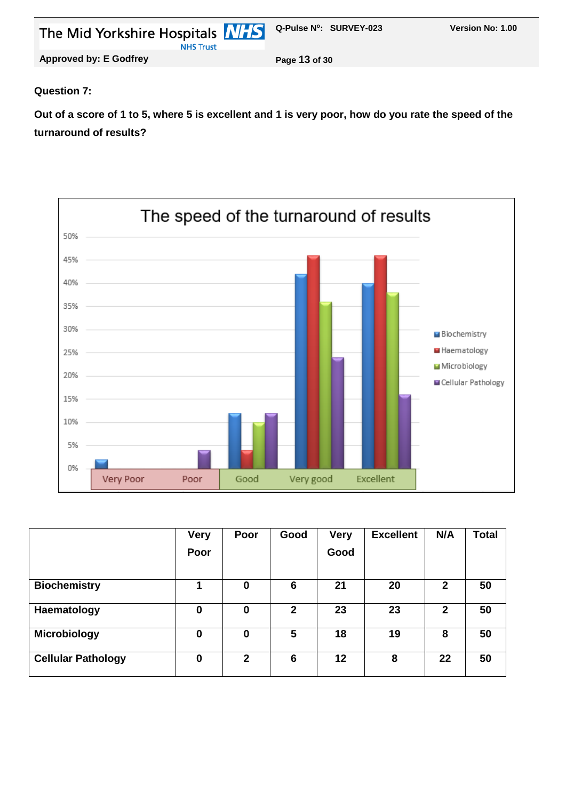| The Mid Yorkshire Hospitals <b>NHS</b> Q-Pulse N°: SURVEY-023 |               | <b>Version No: 1.00</b> |
|---------------------------------------------------------------|---------------|-------------------------|
| <b>NHS Trust</b>                                              |               |                         |
| <b>Approved by: E Godfrey</b>                                 | Page 13 of 30 |                         |

#### **Question 7:**

**Out of a score of 1 to 5, where 5 is excellent and 1 is very poor, how do you rate the speed of the turnaround of results?**



|                           | <b>Very</b> | Poor         | Good           | <b>Very</b> | <b>Excellent</b> | N/A          | <b>Total</b> |
|---------------------------|-------------|--------------|----------------|-------------|------------------|--------------|--------------|
|                           | Poor        |              |                | Good        |                  |              |              |
|                           |             |              |                |             |                  |              |              |
| <b>Biochemistry</b>       | 1           | 0            | 6              | 21          | 20               | $\mathbf{2}$ | 50           |
| Haematology               | 0           | 0            | $\overline{2}$ | 23          | 23               | $\mathbf{2}$ | 50           |
| <b>Microbiology</b>       | 0           | 0            | 5              | 18          | 19               | 8            | 50           |
| <b>Cellular Pathology</b> | $\bf{0}$    | $\mathbf{2}$ | 6              | 12          | 8                | 22           | 50           |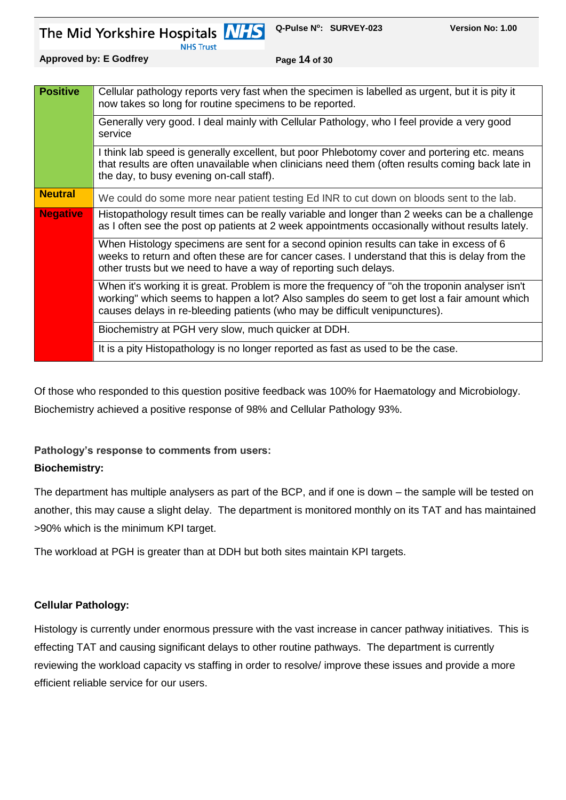**NHS Trust** 

**Approved by: E Godfrey <b>Page 14** of 30

| <b>Positive</b> | Cellular pathology reports very fast when the specimen is labelled as urgent, but it is pity it<br>now takes so long for routine specimens to be reported.                                                                                                                   |
|-----------------|------------------------------------------------------------------------------------------------------------------------------------------------------------------------------------------------------------------------------------------------------------------------------|
|                 | Generally very good. I deal mainly with Cellular Pathology, who I feel provide a very good<br>service                                                                                                                                                                        |
|                 | I think lab speed is generally excellent, but poor Phlebotomy cover and portering etc. means<br>that results are often unavailable when clinicians need them (often results coming back late in<br>the day, to busy evening on-call staff).                                  |
| <b>Neutral</b>  | We could do some more near patient testing Ed INR to cut down on bloods sent to the lab.                                                                                                                                                                                     |
| <b>Negative</b> | Histopathology result times can be really variable and longer than 2 weeks can be a challenge<br>as I often see the post op patients at 2 week appointments occasionally without results lately.                                                                             |
|                 | When Histology specimens are sent for a second opinion results can take in excess of 6<br>weeks to return and often these are for cancer cases. I understand that this is delay from the<br>other trusts but we need to have a way of reporting such delays.                 |
|                 | When it's working it is great. Problem is more the frequency of "oh the troponin analyser isn't<br>working" which seems to happen a lot? Also samples do seem to get lost a fair amount which<br>causes delays in re-bleeding patients (who may be difficult venipunctures). |
|                 | Biochemistry at PGH very slow, much quicker at DDH.                                                                                                                                                                                                                          |
|                 | It is a pity Histopathology is no longer reported as fast as used to be the case.                                                                                                                                                                                            |

Of those who responded to this question positive feedback was 100% for Haematology and Microbiology. Biochemistry achieved a positive response of 98% and Cellular Pathology 93%.

#### **Pathology's response to comments from users:**

#### **Biochemistry:**

The department has multiple analysers as part of the BCP, and if one is down – the sample will be tested on another, this may cause a slight delay. The department is monitored monthly on its TAT and has maintained >90% which is the minimum KPI target.

The workload at PGH is greater than at DDH but both sites maintain KPI targets.

#### **Cellular Pathology:**

Histology is currently under enormous pressure with the vast increase in cancer pathway initiatives. This is effecting TAT and causing significant delays to other routine pathways. The department is currently reviewing the workload capacity vs staffing in order to resolve/ improve these issues and provide a more efficient reliable service for our users.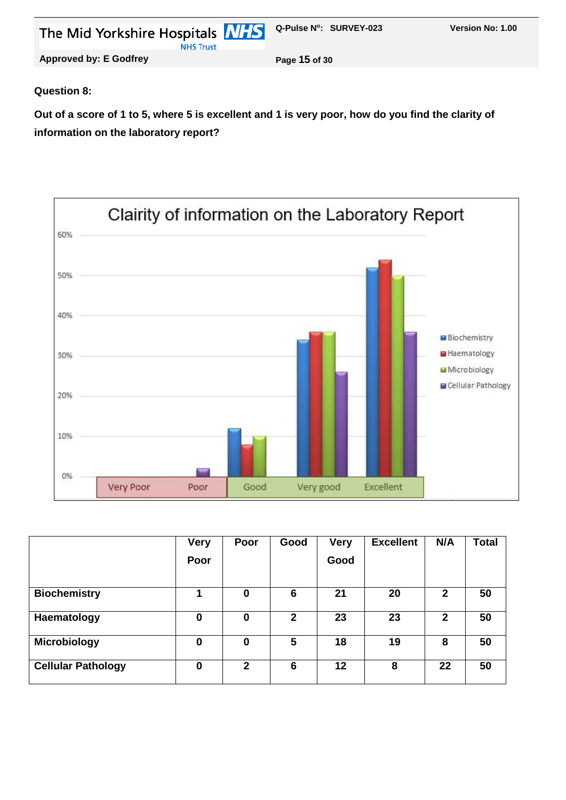| The Mid Yorkshire Hospitals <b>MHS</b> Q-Pulse N°: SURVEY-023<br><b>NHS Trust</b> |               | Version No: 1.00 |
|-----------------------------------------------------------------------------------|---------------|------------------|
| <b>Approved by: E Godfrey</b>                                                     | Page 15 of 30 |                  |
|                                                                                   |               |                  |

#### **Question 8:**

**Out of a score of 1 to 5, where 5 is excellent and 1 is very poor, how do you find the clarity of information on the laboratory report?**



|                           | <b>Very</b> | Poor         | Good         | <b>Very</b> | <b>Excellent</b> | N/A          | Total |
|---------------------------|-------------|--------------|--------------|-------------|------------------|--------------|-------|
|                           | Poor        |              |              | Good        |                  |              |       |
|                           |             |              |              |             |                  |              |       |
| <b>Biochemistry</b>       |             | 0            | 6            | 21          | 20               | $\mathbf{2}$ | 50    |
| Haematology               | 0           | 0            | $\mathbf{2}$ | 23          | 23               | $\mathbf{2}$ | 50    |
| <b>Microbiology</b>       | 0           | 0            | 5            | 18          | 19               | 8            | 50    |
| <b>Cellular Pathology</b> | $\bf{0}$    | $\mathbf{2}$ | 6            | 12          | 8                | 22           | 50    |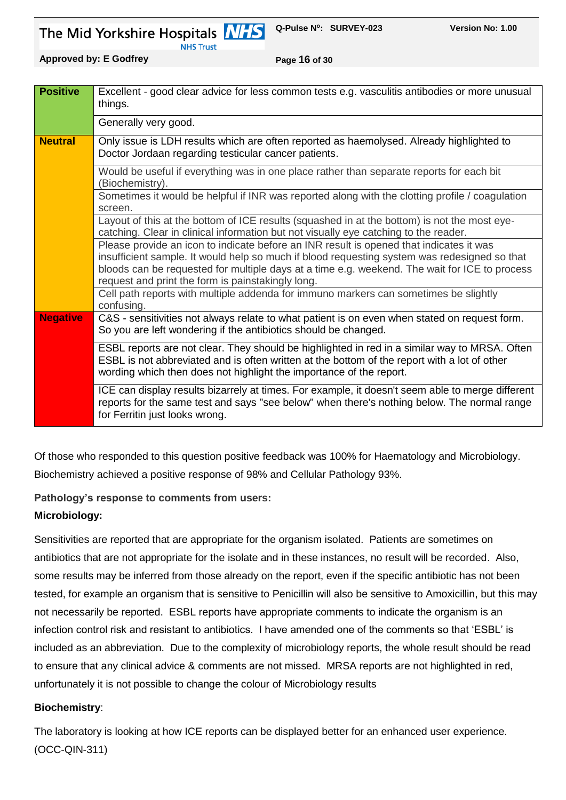**NHS Trust** 

**Q-Pulse N<sup>o</sup> : SURVEY-023 Version No: 1.00** 

**Approved by: E Godfrey Page 16 of 30**

| <b>Positive</b> | Excellent - good clear advice for less common tests e.g. vasculitis antibodies or more unusual<br>things.                                                                                                                                                                                                                                     |
|-----------------|-----------------------------------------------------------------------------------------------------------------------------------------------------------------------------------------------------------------------------------------------------------------------------------------------------------------------------------------------|
|                 | Generally very good.                                                                                                                                                                                                                                                                                                                          |
| <b>Neutral</b>  | Only issue is LDH results which are often reported as haemolysed. Already highlighted to<br>Doctor Jordaan regarding testicular cancer patients.                                                                                                                                                                                              |
|                 | Would be useful if everything was in one place rather than separate reports for each bit<br>(Biochemistry).                                                                                                                                                                                                                                   |
|                 | Sometimes it would be helpful if INR was reported along with the clotting profile / coagulation<br>screen.                                                                                                                                                                                                                                    |
|                 | Layout of this at the bottom of ICE results (squashed in at the bottom) is not the most eye-<br>catching. Clear in clinical information but not visually eye catching to the reader.                                                                                                                                                          |
|                 | Please provide an icon to indicate before an INR result is opened that indicates it was<br>insufficient sample. It would help so much if blood requesting system was redesigned so that<br>bloods can be requested for multiple days at a time e.g. weekend. The wait for ICE to process<br>request and print the form is painstakingly long. |
|                 | Cell path reports with multiple addenda for immuno markers can sometimes be slightly<br>confusing.                                                                                                                                                                                                                                            |
| <b>Negative</b> | C&S - sensitivities not always relate to what patient is on even when stated on request form.<br>So you are left wondering if the antibiotics should be changed.                                                                                                                                                                              |
|                 | ESBL reports are not clear. They should be highlighted in red in a similar way to MRSA. Often<br>ESBL is not abbreviated and is often written at the bottom of the report with a lot of other<br>wording which then does not highlight the importance of the report.                                                                          |
|                 | ICE can display results bizarrely at times. For example, it doesn't seem able to merge different<br>reports for the same test and says "see below" when there's nothing below. The normal range<br>for Ferritin just looks wrong.                                                                                                             |

Of those who responded to this question positive feedback was 100% for Haematology and Microbiology. Biochemistry achieved a positive response of 98% and Cellular Pathology 93%.

**Pathology's response to comments from users:**

# **Microbiology:**

Sensitivities are reported that are appropriate for the organism isolated. Patients are sometimes on antibiotics that are not appropriate for the isolate and in these instances, no result will be recorded. Also, some results may be inferred from those already on the report, even if the specific antibiotic has not been tested, for example an organism that is sensitive to Penicillin will also be sensitive to Amoxicillin, but this may not necessarily be reported. ESBL reports have appropriate comments to indicate the organism is an infection control risk and resistant to antibiotics. I have amended one of the comments so that 'ESBL' is included as an abbreviation. Due to the complexity of microbiology reports, the whole result should be read to ensure that any clinical advice & comments are not missed. MRSA reports are not highlighted in red, unfortunately it is not possible to change the colour of Microbiology results

# **Biochemistry**:

The laboratory is looking at how ICE reports can be displayed better for an enhanced user experience. (OCC-QIN-311)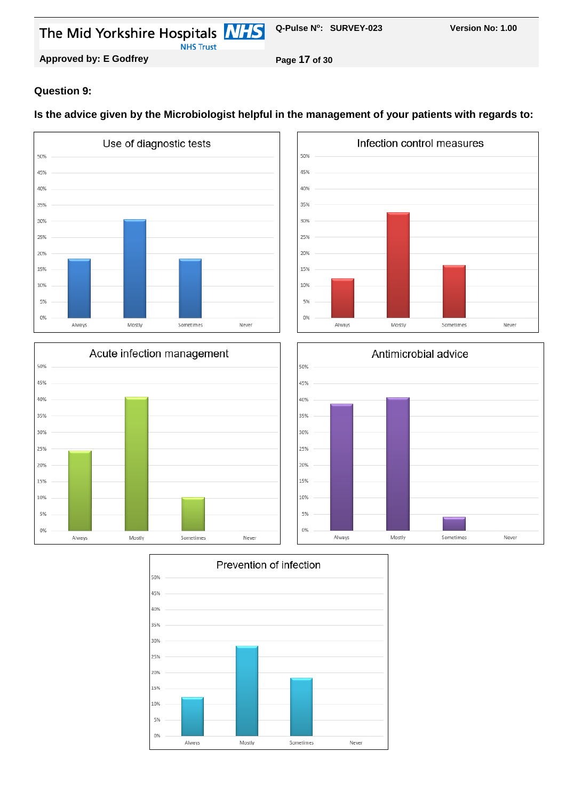**NHS Trust** 

**Approved by: E Godfrey Page 17 of 30**

#### **Question 9:**

#### **Is the advice given by the Microbiologist helpful in the management of your patients with regards to:**









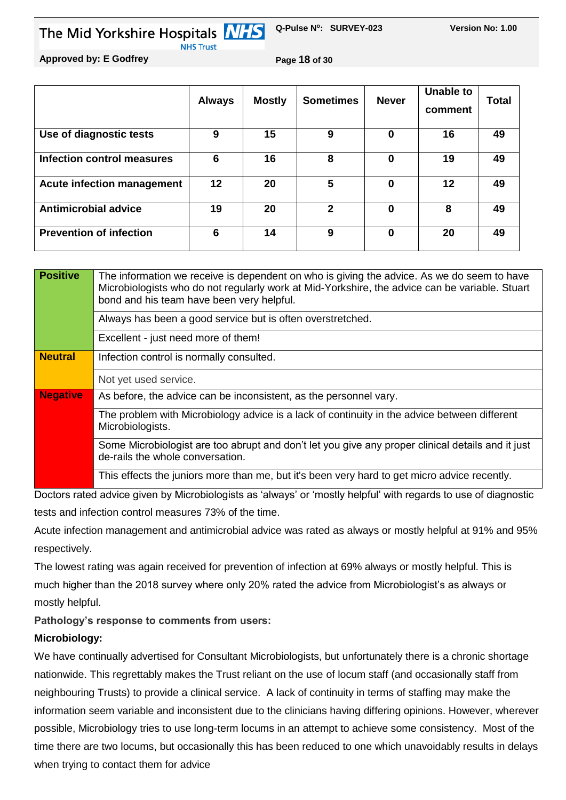**Q-Pulse N<sup>o</sup> : SURVEY-023 Version No: 1.00**  The Mid Yorkshire Hospitals **NHS** 

**Approved by: E Godfrey Page 18 of 30**

**NHS Trust** 

|                                   | <b>Always</b> | <b>Mostly</b> | <b>Sometimes</b> | <b>Never</b> | Unable to<br>comment | Total |
|-----------------------------------|---------------|---------------|------------------|--------------|----------------------|-------|
| Use of diagnostic tests           | 9             | 15            | 9                | $\Omega$     | 16                   | 49    |
| Infection control measures        | 6             | 16            | 8                | $\Omega$     | 19                   | 49    |
| <b>Acute infection management</b> | 12            | 20            | 5                | $\bf{0}$     | 12                   | 49    |
| <b>Antimicrobial advice</b>       | 19            | 20            | $\mathbf{2}$     | $\Omega$     | 8                    | 49    |
| <b>Prevention of infection</b>    | 6             | 14            | 9                | $\Omega$     | 20                   | 49    |

| <b>Positive</b> | The information we receive is dependent on who is giving the advice. As we do seem to have<br>Microbiologists who do not regularly work at Mid-Yorkshire, the advice can be variable. Stuart<br>bond and his team have been very helpful. |
|-----------------|-------------------------------------------------------------------------------------------------------------------------------------------------------------------------------------------------------------------------------------------|
|                 | Always has been a good service but is often overstretched.                                                                                                                                                                                |
|                 | Excellent - just need more of them!                                                                                                                                                                                                       |
| <b>Neutral</b>  | Infection control is normally consulted.                                                                                                                                                                                                  |
|                 | Not yet used service.                                                                                                                                                                                                                     |
| <b>Negative</b> | As before, the advice can be inconsistent, as the personnel vary.                                                                                                                                                                         |
|                 | The problem with Microbiology advice is a lack of continuity in the advice between different<br>Microbiologists.                                                                                                                          |
|                 | Some Microbiologist are too abrupt and don't let you give any proper clinical details and it just<br>de-rails the whole conversation.                                                                                                     |
|                 | This effects the juniors more than me, but it's been very hard to get micro advice recently.                                                                                                                                              |

Doctors rated advice given by Microbiologists as 'always' or 'mostly helpful' with regards to use of diagnostic tests and infection control measures 73% of the time.

Acute infection management and antimicrobial advice was rated as always or mostly helpful at 91% and 95% respectively.

The lowest rating was again received for prevention of infection at 69% always or mostly helpful. This is much higher than the 2018 survey where only 20% rated the advice from Microbiologist's as always or mostly helpful.

**Pathology's response to comments from users:**

# **Microbiology:**

We have continually advertised for Consultant Microbiologists, but unfortunately there is a chronic shortage nationwide. This regrettably makes the Trust reliant on the use of locum staff (and occasionally staff from neighbouring Trusts) to provide a clinical service. A lack of continuity in terms of staffing may make the information seem variable and inconsistent due to the clinicians having differing opinions. However, wherever possible, Microbiology tries to use long-term locums in an attempt to achieve some consistency. Most of the time there are two locums, but occasionally this has been reduced to one which unavoidably results in delays when trying to contact them for advice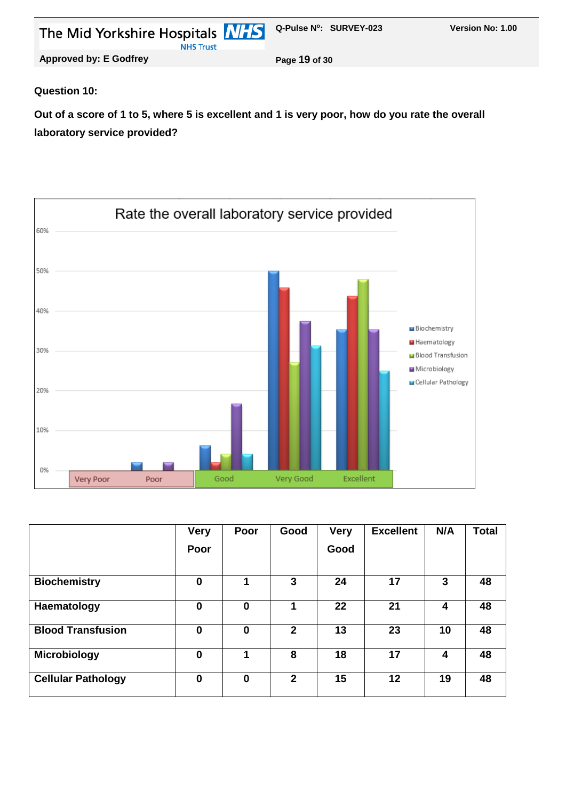| The Mid Yorkshire Hospitals <b>NHS</b> Q-Pulse N°: SURVEY-023<br><b>NHS Trust</b> |               | <b>Version No: 1.00</b> |
|-----------------------------------------------------------------------------------|---------------|-------------------------|
| <b>Approved by: E Godfrey</b>                                                     | Page 19 of 30 |                         |

#### **Question 10:**

**Out of a score of 1 to 5, where 5 is excellent and 1 is very poor, how do you rate the overall laboratory service provided?**



|                           | <b>Very</b><br>Poor | Poor     | Good           | <b>Very</b><br>Good | <b>Excellent</b> | N/A | <b>Total</b> |
|---------------------------|---------------------|----------|----------------|---------------------|------------------|-----|--------------|
| <b>Biochemistry</b>       | $\mathbf 0$         | 4        | 3              | 24                  | 17               | 3   | 48           |
| Haematology               | 0                   | 0        | 1              | 22                  | 21               | 4   | 48           |
| <b>Blood Transfusion</b>  | $\bf{0}$            | 0        | $\overline{2}$ | 13                  | 23               | 10  | 48           |
| Microbiology              | $\mathbf 0$         | 4        | 8              | 18                  | 17               | 4   | 48           |
| <b>Cellular Pathology</b> | $\bf{0}$            | $\bf{0}$ | $\mathbf{2}$   | 15                  | 12               | 19  | 48           |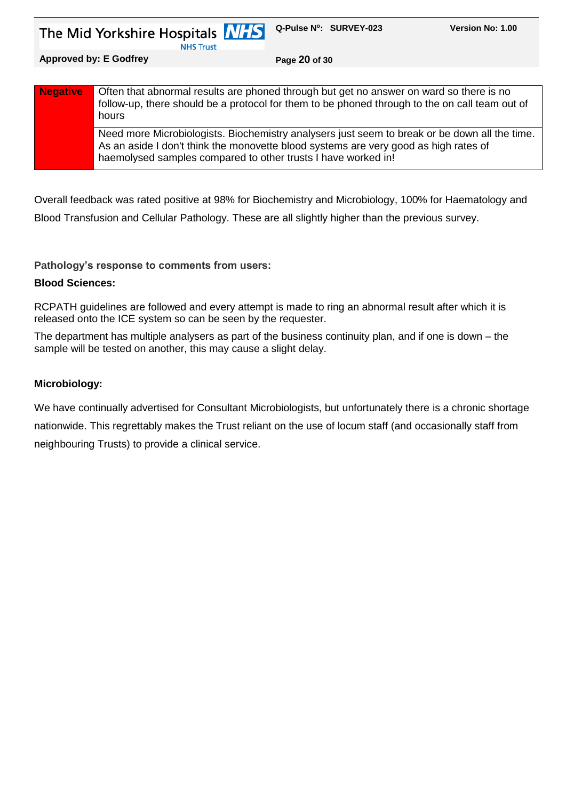**NHS Trust** 

**Approved by: E Godfrey Page 20 of 30**

| <b>Negative</b> | Often that abnormal results are phoned through but get no answer on ward so there is no<br>follow-up, there should be a protocol for them to be phoned through to the on call team out of<br>hours                                                     |
|-----------------|--------------------------------------------------------------------------------------------------------------------------------------------------------------------------------------------------------------------------------------------------------|
|                 | Need more Microbiologists. Biochemistry analysers just seem to break or be down all the time.<br>As an aside I don't think the monovette blood systems are very good as high rates of<br>haemolysed samples compared to other trusts I have worked in! |

Overall feedback was rated positive at 98% for Biochemistry and Microbiology, 100% for Haematology and Blood Transfusion and Cellular Pathology. These are all slightly higher than the previous survey.

#### **Pathology's response to comments from users:**

#### **Blood Sciences:**

RCPATH guidelines are followed and every attempt is made to ring an abnormal result after which it is released onto the ICE system so can be seen by the requester.

The department has multiple analysers as part of the business continuity plan, and if one is down – the sample will be tested on another, this may cause a slight delay.

#### **Microbiology:**

We have continually advertised for Consultant Microbiologists, but unfortunately there is a chronic shortage nationwide. This regrettably makes the Trust reliant on the use of locum staff (and occasionally staff from neighbouring Trusts) to provide a clinical service.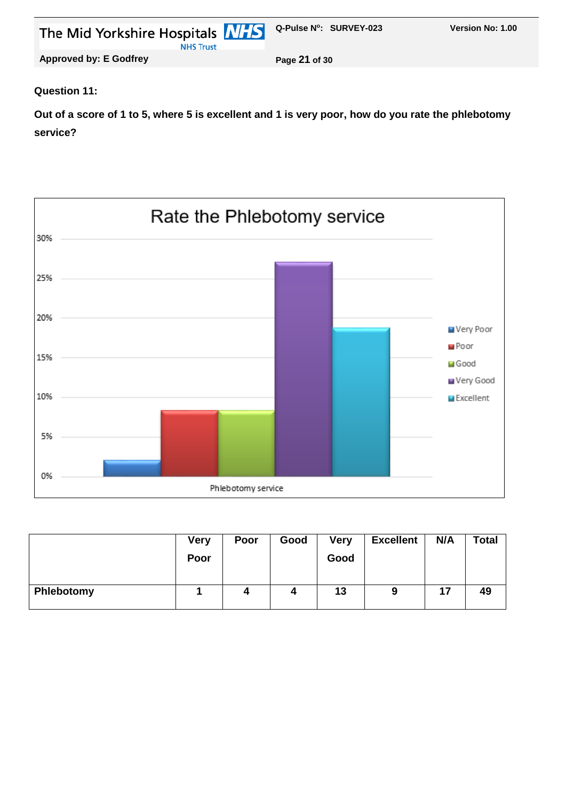| The Mid Yorkshire Hospitals MIS Q-Pulse N°: SURVEY-023 |               | <b>Version No: 1.00</b> |
|--------------------------------------------------------|---------------|-------------------------|
| <b>NHS Trust</b>                                       |               |                         |
| <b>Approved by: E Godfrey</b>                          | Page 21 of 30 |                         |

#### **Question 11:**

**Out of a score of 1 to 5, where 5 is excellent and 1 is very poor, how do you rate the phlebotomy service?**



|            | <b>Very</b> | Poor | Good | <b>Very</b> | <b>Excellent</b> | N/A | <b>Total</b> |
|------------|-------------|------|------|-------------|------------------|-----|--------------|
|            | Poor        |      |      | Good        |                  |     |              |
|            |             |      |      |             |                  |     |              |
| Phlebotomy |             |      | 4    | 13          | 9                | 17  | 49           |
|            |             |      |      |             |                  |     |              |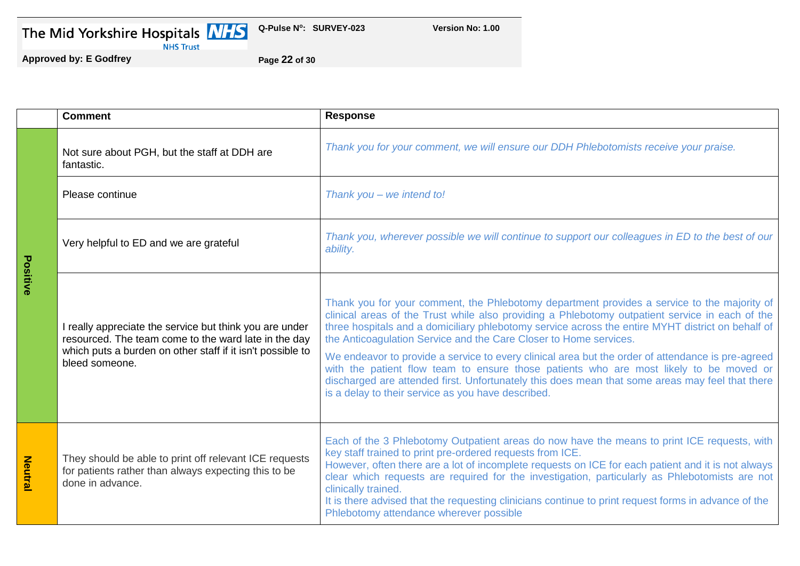| The Mid Yorkshire Hospitals |  |
|-----------------------------|--|
|-----------------------------|--|



**Version No: 1.00** 

**Approved by: E Godfrey Page 22 of 30**

|                | <b>Comment</b>                                                                                                                                                                                  | <b>Response</b>                                                                                                                                                                                                                                                                                                                                                                                                                                                                                                                                                                                                                                                                                                                  |
|----------------|-------------------------------------------------------------------------------------------------------------------------------------------------------------------------------------------------|----------------------------------------------------------------------------------------------------------------------------------------------------------------------------------------------------------------------------------------------------------------------------------------------------------------------------------------------------------------------------------------------------------------------------------------------------------------------------------------------------------------------------------------------------------------------------------------------------------------------------------------------------------------------------------------------------------------------------------|
|                | Not sure about PGH, but the staff at DDH are<br>fantastic.                                                                                                                                      | Thank you for your comment, we will ensure our DDH Phlebotomists receive your praise.                                                                                                                                                                                                                                                                                                                                                                                                                                                                                                                                                                                                                                            |
|                | Please continue                                                                                                                                                                                 | Thank you - we intend to!                                                                                                                                                                                                                                                                                                                                                                                                                                                                                                                                                                                                                                                                                                        |
| Positive       | Very helpful to ED and we are grateful                                                                                                                                                          | Thank you, wherever possible we will continue to support our colleagues in ED to the best of our<br>ability.                                                                                                                                                                                                                                                                                                                                                                                                                                                                                                                                                                                                                     |
|                | I really appreciate the service but think you are under<br>resourced. The team come to the ward late in the day<br>which puts a burden on other staff if it isn't possible to<br>bleed someone. | Thank you for your comment, the Phlebotomy department provides a service to the majority of<br>clinical areas of the Trust while also providing a Phlebotomy outpatient service in each of the<br>three hospitals and a domiciliary phlebotomy service across the entire MYHT district on behalf of<br>the Anticoagulation Service and the Care Closer to Home services.<br>We endeavor to provide a service to every clinical area but the order of attendance is pre-agreed<br>with the patient flow team to ensure those patients who are most likely to be moved or<br>discharged are attended first. Unfortunately this does mean that some areas may feel that there<br>is a delay to their service as you have described. |
| <b>Neutral</b> | They should be able to print off relevant ICE requests<br>for patients rather than always expecting this to be<br>done in advance.                                                              | Each of the 3 Phlebotomy Outpatient areas do now have the means to print ICE requests, with<br>key staff trained to print pre-ordered requests from ICE.<br>However, often there are a lot of incomplete requests on ICE for each patient and it is not always<br>clear which requests are required for the investigation, particularly as Phlebotomists are not<br>clinically trained.<br>It is there advised that the requesting clinicians continue to print request forms in advance of the<br>Phlebotomy attendance wherever possible                                                                                                                                                                                       |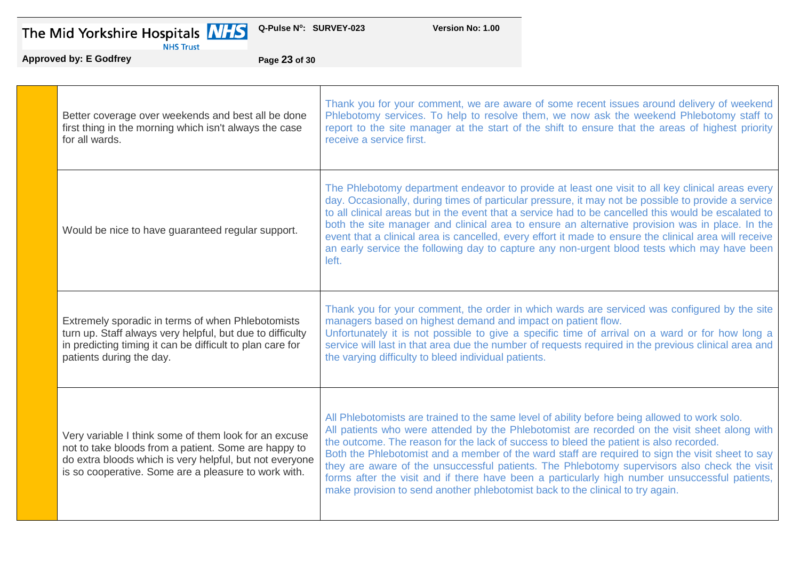

**Version No: 1.00** 

**Approved by: E Godfrey Page 23 of 30**

| Better coverage over weekends and best all be done<br>first thing in the morning which isn't always the case<br>for all wards.                                                                                                   | Thank you for your comment, we are aware of some recent issues around delivery of weekend<br>Phlebotomy services. To help to resolve them, we now ask the weekend Phlebotomy staff to<br>report to the site manager at the start of the shift to ensure that the areas of highest priority<br>receive a service first.                                                                                                                                                                                                                                                                                                                                                           |
|----------------------------------------------------------------------------------------------------------------------------------------------------------------------------------------------------------------------------------|----------------------------------------------------------------------------------------------------------------------------------------------------------------------------------------------------------------------------------------------------------------------------------------------------------------------------------------------------------------------------------------------------------------------------------------------------------------------------------------------------------------------------------------------------------------------------------------------------------------------------------------------------------------------------------|
| Would be nice to have guaranteed regular support.                                                                                                                                                                                | The Phlebotomy department endeavor to provide at least one visit to all key clinical areas every<br>day. Occasionally, during times of particular pressure, it may not be possible to provide a service<br>to all clinical areas but in the event that a service had to be cancelled this would be escalated to<br>both the site manager and clinical area to ensure an alternative provision was in place. In the<br>event that a clinical area is cancelled, every effort it made to ensure the clinical area will receive<br>an early service the following day to capture any non-urgent blood tests which may have been<br>left.                                            |
| Extremely sporadic in terms of when Phlebotomists<br>turn up. Staff always very helpful, but due to difficulty<br>in predicting timing it can be difficult to plan care for<br>patients during the day.                          | Thank you for your comment, the order in which wards are serviced was configured by the site<br>managers based on highest demand and impact on patient flow.<br>Unfortunately it is not possible to give a specific time of arrival on a ward or for how long a<br>service will last in that area due the number of requests required in the previous clinical area and<br>the varying difficulty to bleed individual patients.                                                                                                                                                                                                                                                  |
| Very variable I think some of them look for an excuse<br>not to take bloods from a patient. Some are happy to<br>do extra bloods which is very helpful, but not everyone<br>is so cooperative. Some are a pleasure to work with. | All Phlebotomists are trained to the same level of ability before being allowed to work solo.<br>All patients who were attended by the Phlebotomist are recorded on the visit sheet along with<br>the outcome. The reason for the lack of success to bleed the patient is also recorded.<br>Both the Phlebotomist and a member of the ward staff are required to sign the visit sheet to say<br>they are aware of the unsuccessful patients. The Phlebotomy supervisors also check the visit<br>forms after the visit and if there have been a particularly high number unsuccessful patients,<br>make provision to send another phlebotomist back to the clinical to try again. |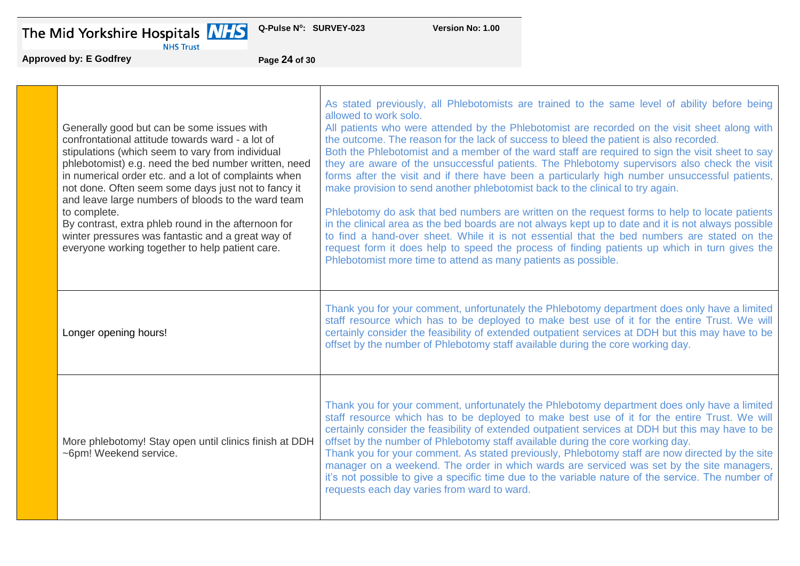The Mid Yorkshire Hospitals **Approved by: E Godfrey PAREL PROPERTY Page 24** of 30



**Q-Pulse N<sup>o</sup>**

**Version No: 1.00** 

| Generally good but can be some issues with<br>confrontational attitude towards ward - a lot of<br>stipulations (which seem to vary from individual<br>phlebotomist) e.g. need the bed number written, need<br>in numerical order etc. and a lot of complaints when<br>not done. Often seem some days just not to fancy it<br>and leave large numbers of bloods to the ward team<br>to complete.<br>By contrast, extra phleb round in the afternoon for<br>winter pressures was fantastic and a great way of<br>everyone working together to help patient care. | As stated previously, all Phlebotomists are trained to the same level of ability before being<br>allowed to work solo.<br>All patients who were attended by the Phlebotomist are recorded on the visit sheet along with<br>the outcome. The reason for the lack of success to bleed the patient is also recorded.<br>Both the Phlebotomist and a member of the ward staff are required to sign the visit sheet to say<br>they are aware of the unsuccessful patients. The Phlebotomy supervisors also check the visit<br>forms after the visit and if there have been a particularly high number unsuccessful patients,<br>make provision to send another phlebotomist back to the clinical to try again.<br>Phlebotomy do ask that bed numbers are written on the request forms to help to locate patients<br>in the clinical area as the bed boards are not always kept up to date and it is not always possible<br>to find a hand-over sheet. While it is not essential that the bed numbers are stated on the<br>request form it does help to speed the process of finding patients up which in turn gives the<br>Phlebotomist more time to attend as many patients as possible. |
|----------------------------------------------------------------------------------------------------------------------------------------------------------------------------------------------------------------------------------------------------------------------------------------------------------------------------------------------------------------------------------------------------------------------------------------------------------------------------------------------------------------------------------------------------------------|--------------------------------------------------------------------------------------------------------------------------------------------------------------------------------------------------------------------------------------------------------------------------------------------------------------------------------------------------------------------------------------------------------------------------------------------------------------------------------------------------------------------------------------------------------------------------------------------------------------------------------------------------------------------------------------------------------------------------------------------------------------------------------------------------------------------------------------------------------------------------------------------------------------------------------------------------------------------------------------------------------------------------------------------------------------------------------------------------------------------------------------------------------------------------------------|
| Longer opening hours!                                                                                                                                                                                                                                                                                                                                                                                                                                                                                                                                          | Thank you for your comment, unfortunately the Phlebotomy department does only have a limited<br>staff resource which has to be deployed to make best use of it for the entire Trust. We will<br>certainly consider the feasibility of extended outpatient services at DDH but this may have to be<br>offset by the number of Phlebotomy staff available during the core working day.                                                                                                                                                                                                                                                                                                                                                                                                                                                                                                                                                                                                                                                                                                                                                                                                 |
| More phlebotomy! Stay open until clinics finish at DDH<br>~6pm! Weekend service.                                                                                                                                                                                                                                                                                                                                                                                                                                                                               | Thank you for your comment, unfortunately the Phlebotomy department does only have a limited<br>staff resource which has to be deployed to make best use of it for the entire Trust. We will<br>certainly consider the feasibility of extended outpatient services at DDH but this may have to be<br>offset by the number of Phlebotomy staff available during the core working day.<br>Thank you for your comment. As stated previously, Phlebotomy staff are now directed by the site<br>manager on a weekend. The order in which wards are serviced was set by the site managers,<br>it's not possible to give a specific time due to the variable nature of the service. The number of<br>requests each day varies from ward to ward.                                                                                                                                                                                                                                                                                                                                                                                                                                            |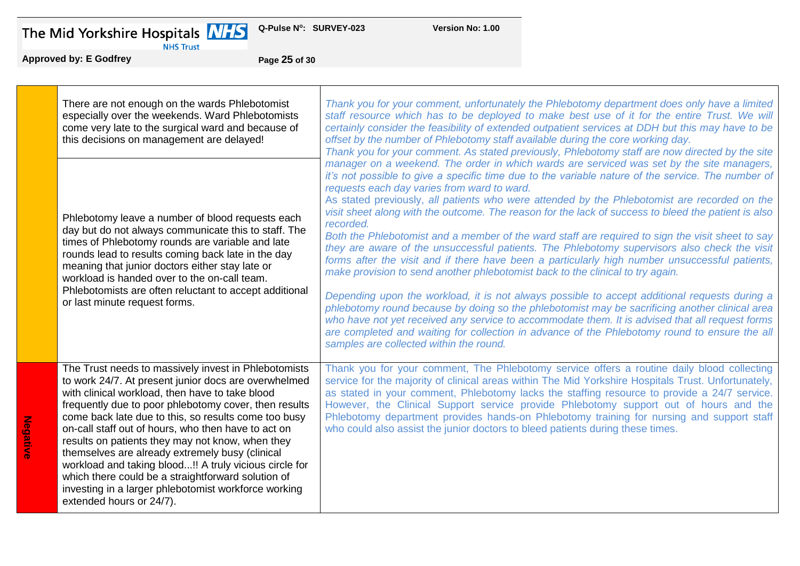The Mid Yorkshire Hospitals **Approved by: E Godfrey**<br>Approved by: E Godfrey Page 25 of 30



**Q-Pulse N<sup>o</sup>**

**Version No: 1.00** 

**Negative**

| There are not enough on the wards Phlebotomist<br>especially over the weekends. Ward Phlebotomists<br>come very late to the surgical ward and because of<br>this decisions on management are delayed!                                                                                                                                                                                                                                                                                                                                                                                                                                              | Thank you for your comment, unfortunately the Phlebotomy department does only have a limited<br>staff resource which has to be deployed to make best use of it for the entire Trust. We will<br>certainly consider the feasibility of extended outpatient services at DDH but this may have to be<br>offset by the number of Phlebotomy staff available during the core working day.<br>Thank you for your comment. As stated previously, Phlebotomy staff are now directed by the site                                                                                                                                                                                                                                                                                                                                                                                                                                                                                                                                                                                                                                                                                                                                                                                                                      |
|----------------------------------------------------------------------------------------------------------------------------------------------------------------------------------------------------------------------------------------------------------------------------------------------------------------------------------------------------------------------------------------------------------------------------------------------------------------------------------------------------------------------------------------------------------------------------------------------------------------------------------------------------|--------------------------------------------------------------------------------------------------------------------------------------------------------------------------------------------------------------------------------------------------------------------------------------------------------------------------------------------------------------------------------------------------------------------------------------------------------------------------------------------------------------------------------------------------------------------------------------------------------------------------------------------------------------------------------------------------------------------------------------------------------------------------------------------------------------------------------------------------------------------------------------------------------------------------------------------------------------------------------------------------------------------------------------------------------------------------------------------------------------------------------------------------------------------------------------------------------------------------------------------------------------------------------------------------------------|
| Phlebotomy leave a number of blood requests each<br>day but do not always communicate this to staff. The<br>times of Phlebotomy rounds are variable and late<br>rounds lead to results coming back late in the day<br>meaning that junior doctors either stay late or<br>workload is handed over to the on-call team.<br>Phlebotomists are often reluctant to accept additional<br>or last minute request forms.                                                                                                                                                                                                                                   | manager on a weekend. The order in which wards are serviced was set by the site managers,<br>it's not possible to give a specific time due to the variable nature of the service. The number of<br>requests each day varies from ward to ward.<br>As stated previously, all patients who were attended by the Phlebotomist are recorded on the<br>visit sheet along with the outcome. The reason for the lack of success to bleed the patient is also<br>recorded.<br>Both the Phlebotomist and a member of the ward staff are required to sign the visit sheet to say<br>they are aware of the unsuccessful patients. The Phlebotomy supervisors also check the visit<br>forms after the visit and if there have been a particularly high number unsuccessful patients,<br>make provision to send another phlebotomist back to the clinical to try again.<br>Depending upon the workload, it is not always possible to accept additional requests during a<br>phlebotomy round because by doing so the phlebotomist may be sacrificing another clinical area<br>who have not yet received any service to accommodate them. It is advised that all request forms<br>are completed and waiting for collection in advance of the Phlebotomy round to ensure the all<br>samples are collected within the round. |
| The Trust needs to massively invest in Phlebotomists<br>to work 24/7. At present junior docs are overwhelmed<br>with clinical workload, then have to take blood<br>frequently due to poor phlebotomy cover, then results<br>come back late due to this, so results come too busy<br>on-call staff out of hours, who then have to act on<br>results on patients they may not know, when they<br>themselves are already extremely busy (clinical<br>workload and taking blood!! A truly vicious circle for<br>which there could be a straightforward solution of<br>investing in a larger phlebotomist workforce working<br>extended hours or 24/7). | Thank you for your comment, The Phlebotomy service offers a routine daily blood collecting<br>service for the majority of clinical areas within The Mid Yorkshire Hospitals Trust. Unfortunately,<br>as stated in your comment, Phlebotomy lacks the staffing resource to provide a 24/7 service.<br>However, the Clinical Support service provide Phlebotomy support out of hours and the<br>Phlebotomy department provides hands-on Phlebotomy training for nursing and support staff<br>who could also assist the junior doctors to bleed patients during these times.                                                                                                                                                                                                                                                                                                                                                                                                                                                                                                                                                                                                                                                                                                                                    |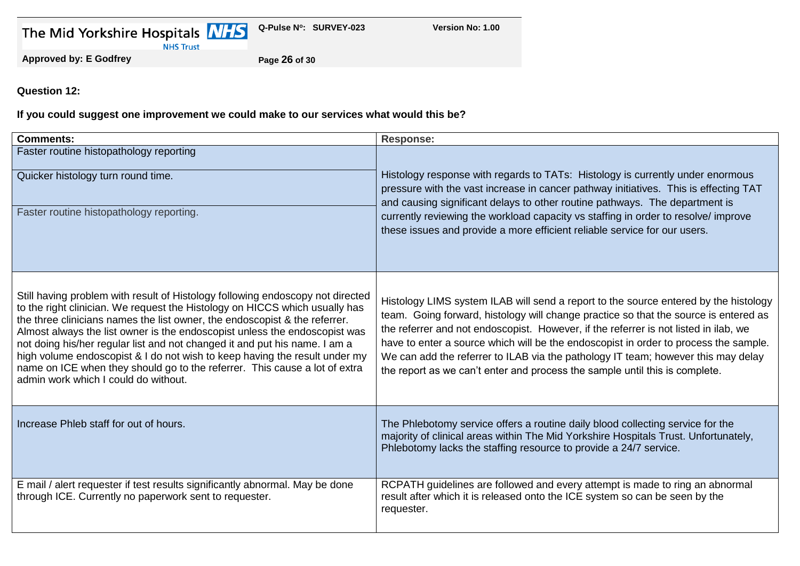|  | The Mid Yorkshire Hospitals |                  |
|--|-----------------------------|------------------|
|  |                             | <b>NHS Trust</b> |



**Version No: 1.00** 

**Approved by: E Godfrey Page 26 of 30**

**Question 12:**

**If you could suggest one improvement we could make to our services what would this be?**

| <b>Comments:</b>                                                                                                                                                                                                                                                                                                                                                                                                                                                                                                                                                                                            | <b>Response:</b>                                                                                                                                                                                                                                                                                                                                                                                                                                                                                                                 |
|-------------------------------------------------------------------------------------------------------------------------------------------------------------------------------------------------------------------------------------------------------------------------------------------------------------------------------------------------------------------------------------------------------------------------------------------------------------------------------------------------------------------------------------------------------------------------------------------------------------|----------------------------------------------------------------------------------------------------------------------------------------------------------------------------------------------------------------------------------------------------------------------------------------------------------------------------------------------------------------------------------------------------------------------------------------------------------------------------------------------------------------------------------|
| Faster routine histopathology reporting<br>Quicker histology turn round time.<br>Faster routine histopathology reporting.                                                                                                                                                                                                                                                                                                                                                                                                                                                                                   | Histology response with regards to TATs: Histology is currently under enormous<br>pressure with the vast increase in cancer pathway initiatives. This is effecting TAT<br>and causing significant delays to other routine pathways. The department is<br>currently reviewing the workload capacity vs staffing in order to resolve/improve<br>these issues and provide a more efficient reliable service for our users.                                                                                                          |
| Still having problem with result of Histology following endoscopy not directed<br>to the right clinician. We request the Histology on HICCS which usually has<br>the three clinicians names the list owner, the endoscopist & the referrer.<br>Almost always the list owner is the endoscopist unless the endoscopist was<br>not doing his/her regular list and not changed it and put his name. I am a<br>high volume endoscopist & I do not wish to keep having the result under my<br>name on ICE when they should go to the referrer. This cause a lot of extra<br>admin work which I could do without. | Histology LIMS system ILAB will send a report to the source entered by the histology<br>team. Going forward, histology will change practice so that the source is entered as<br>the referrer and not endoscopist. However, if the referrer is not listed in ilab, we<br>have to enter a source which will be the endoscopist in order to process the sample.<br>We can add the referrer to ILAB via the pathology IT team; however this may delay<br>the report as we can't enter and process the sample until this is complete. |
| Increase Phleb staff for out of hours.                                                                                                                                                                                                                                                                                                                                                                                                                                                                                                                                                                      | The Phlebotomy service offers a routine daily blood collecting service for the<br>majority of clinical areas within The Mid Yorkshire Hospitals Trust. Unfortunately,<br>Phlebotomy lacks the staffing resource to provide a 24/7 service.                                                                                                                                                                                                                                                                                       |
| E mail / alert requester if test results significantly abnormal. May be done<br>through ICE. Currently no paperwork sent to requester.                                                                                                                                                                                                                                                                                                                                                                                                                                                                      | RCPATH guidelines are followed and every attempt is made to ring an abnormal<br>result after which it is released onto the ICE system so can be seen by the<br>requester.                                                                                                                                                                                                                                                                                                                                                        |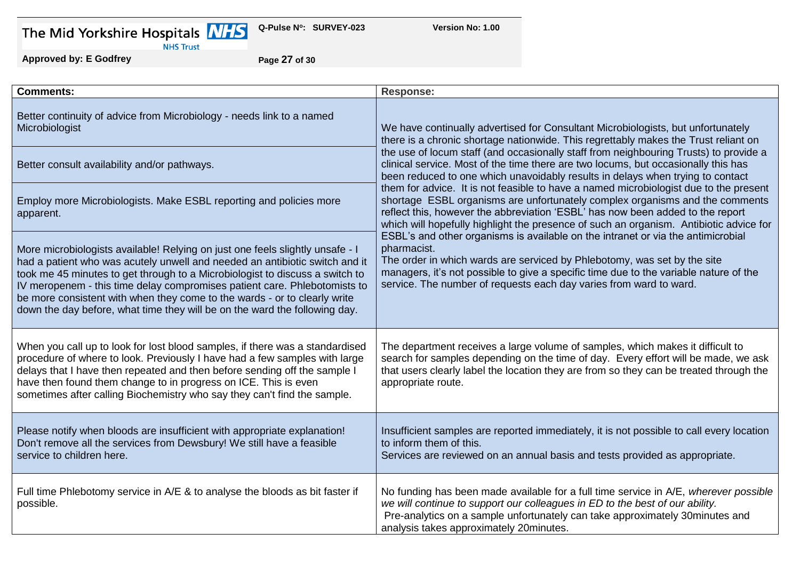| The Mid Yorkshire Hospitals |  |  |  |  |  |
|-----------------------------|--|--|--|--|--|
|-----------------------------|--|--|--|--|--|



**Version No: 1.00** 

**Approved by: E Godfrey Page 27 of 30**

| <b>Comments:</b>                                                                                                                                                                                                                                                                                                                                                                                                                                                                     | <b>Response:</b>                                                                                                                                                                                                                                                                                                                                  |
|--------------------------------------------------------------------------------------------------------------------------------------------------------------------------------------------------------------------------------------------------------------------------------------------------------------------------------------------------------------------------------------------------------------------------------------------------------------------------------------|---------------------------------------------------------------------------------------------------------------------------------------------------------------------------------------------------------------------------------------------------------------------------------------------------------------------------------------------------|
| Better continuity of advice from Microbiology - needs link to a named<br>Microbiologist                                                                                                                                                                                                                                                                                                                                                                                              | We have continually advertised for Consultant Microbiologists, but unfortunately<br>there is a chronic shortage nationwide. This regrettably makes the Trust reliant on                                                                                                                                                                           |
| Better consult availability and/or pathways.                                                                                                                                                                                                                                                                                                                                                                                                                                         | the use of locum staff (and occasionally staff from neighbouring Trusts) to provide a<br>clinical service. Most of the time there are two locums, but occasionally this has<br>been reduced to one which unavoidably results in delays when trying to contact                                                                                     |
| Employ more Microbiologists. Make ESBL reporting and policies more<br>apparent.                                                                                                                                                                                                                                                                                                                                                                                                      | them for advice. It is not feasible to have a named microbiologist due to the present<br>shortage ESBL organisms are unfortunately complex organisms and the comments<br>reflect this, however the abbreviation 'ESBL' has now been added to the report<br>which will hopefully highlight the presence of such an organism. Antibiotic advice for |
| More microbiologists available! Relying on just one feels slightly unsafe - I<br>had a patient who was acutely unwell and needed an antibiotic switch and it<br>took me 45 minutes to get through to a Microbiologist to discuss a switch to<br>IV meropenem - this time delay compromises patient care. Phlebotomists to<br>be more consistent with when they come to the wards - or to clearly write<br>down the day before, what time they will be on the ward the following day. | ESBL's and other organisms is available on the intranet or via the antimicrobial<br>pharmacist.<br>The order in which wards are serviced by Phlebotomy, was set by the site<br>managers, it's not possible to give a specific time due to the variable nature of the<br>service. The number of requests each day varies from ward to ward.        |
| When you call up to look for lost blood samples, if there was a standardised<br>procedure of where to look. Previously I have had a few samples with large<br>delays that I have then repeated and then before sending off the sample I<br>have then found them change to in progress on ICE. This is even<br>sometimes after calling Biochemistry who say they can't find the sample.                                                                                               | The department receives a large volume of samples, which makes it difficult to<br>search for samples depending on the time of day. Every effort will be made, we ask<br>that users clearly label the location they are from so they can be treated through the<br>appropriate route.                                                              |
| Please notify when bloods are insufficient with appropriate explanation!<br>Don't remove all the services from Dewsbury! We still have a feasible<br>service to children here.                                                                                                                                                                                                                                                                                                       | Insufficient samples are reported immediately, it is not possible to call every location<br>to inform them of this.<br>Services are reviewed on an annual basis and tests provided as appropriate.                                                                                                                                                |
| Full time Phlebotomy service in A/E & to analyse the bloods as bit faster if<br>possible.                                                                                                                                                                                                                                                                                                                                                                                            | No funding has been made available for a full time service in A/E, wherever possible<br>we will continue to support our colleagues in ED to the best of our ability.<br>Pre-analytics on a sample unfortunately can take approximately 30minutes and<br>analysis takes approximately 20minutes.                                                   |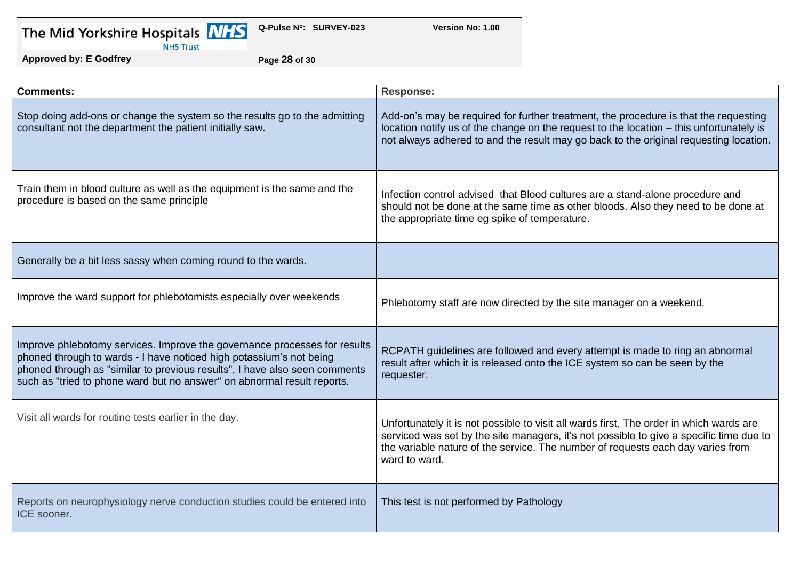| The Mid Yorkshire Hospitals |  |  |  |
|-----------------------------|--|--|--|
|-----------------------------|--|--|--|



**Version No: 1.00** 

# **Approved by: E Godfrey Page 28 of 30**

| <b>Comments:</b>                                                                                                                                                                                                                                                                                          | <b>Response:</b>                                                                                                                                                                                                                                                                       |
|-----------------------------------------------------------------------------------------------------------------------------------------------------------------------------------------------------------------------------------------------------------------------------------------------------------|----------------------------------------------------------------------------------------------------------------------------------------------------------------------------------------------------------------------------------------------------------------------------------------|
| Stop doing add-ons or change the system so the results go to the admitting<br>consultant not the department the patient initially saw.                                                                                                                                                                    | Add-on's may be required for further treatment, the procedure is that the requesting<br>location notify us of the change on the request to the location – this unfortunately is<br>not always adhered to and the result may go back to the original requesting location.               |
| Train them in blood culture as well as the equipment is the same and the<br>procedure is based on the same principle                                                                                                                                                                                      | Infection control advised that Blood cultures are a stand-alone procedure and<br>should not be done at the same time as other bloods. Also they need to be done at<br>the appropriate time eg spike of temperature.                                                                    |
| Generally be a bit less sassy when coming round to the wards.                                                                                                                                                                                                                                             |                                                                                                                                                                                                                                                                                        |
| Improve the ward support for phlebotomists especially over weekends                                                                                                                                                                                                                                       | Phlebotomy staff are now directed by the site manager on a weekend.                                                                                                                                                                                                                    |
| Improve phlebotomy services. Improve the governance processes for results<br>phoned through to wards - I have noticed high potassium's not being<br>phoned through as "similar to previous results", I have also seen comments<br>such as "tried to phone ward but no answer" on abnormal result reports. | RCPATH guidelines are followed and every attempt is made to ring an abnormal<br>result after which it is released onto the ICE system so can be seen by the<br>requester.                                                                                                              |
| Visit all wards for routine tests earlier in the day.                                                                                                                                                                                                                                                     | Unfortunately it is not possible to visit all wards first, The order in which wards are<br>serviced was set by the site managers, it's not possible to give a specific time due to<br>the variable nature of the service. The number of requests each day varies from<br>ward to ward. |
| Reports on neurophysiology nerve conduction studies could be entered into<br>ICE sooner.                                                                                                                                                                                                                  | This test is not performed by Pathology                                                                                                                                                                                                                                                |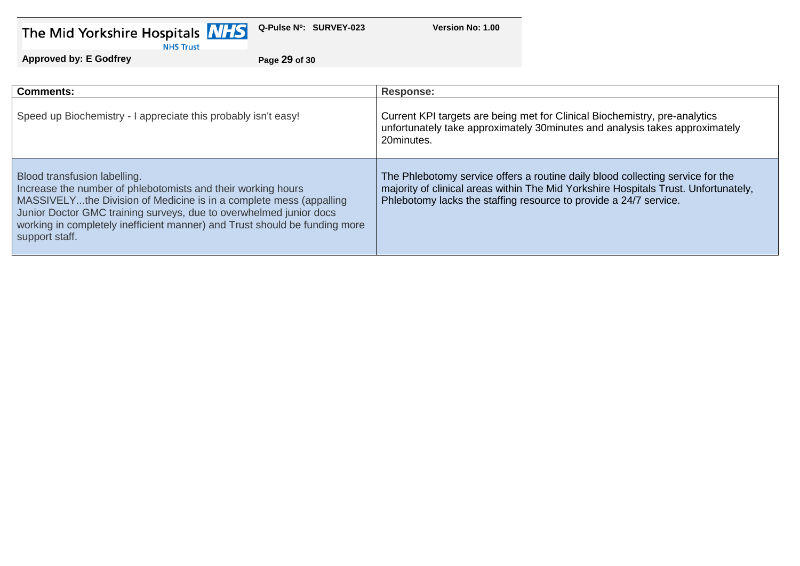| The Mid Yorkshire Hospitals |  |  |
|-----------------------------|--|--|
|-----------------------------|--|--|



**Version No: 1.00** 

**Approved by: E Godfrey Page 29 of 30**

| <b>Comments:</b>                                                                                                                                                                                                                                                                                                                         | <b>Response:</b>                                                                                                                                                                                                                           |
|------------------------------------------------------------------------------------------------------------------------------------------------------------------------------------------------------------------------------------------------------------------------------------------------------------------------------------------|--------------------------------------------------------------------------------------------------------------------------------------------------------------------------------------------------------------------------------------------|
| Speed up Biochemistry - I appreciate this probably isn't easy!                                                                                                                                                                                                                                                                           | Current KPI targets are being met for Clinical Biochemistry, pre-analytics<br>unfortunately take approximately 30minutes and analysis takes approximately<br>20minutes.                                                                    |
| Blood transfusion labelling.<br>Increase the number of phlebotomists and their working hours<br>MASSIVELYthe Division of Medicine is in a complete mess (appalling<br>Junior Doctor GMC training surveys, due to overwhelmed junior docs<br>working in completely inefficient manner) and Trust should be funding more<br>support staff. | The Phlebotomy service offers a routine daily blood collecting service for the<br>majority of clinical areas within The Mid Yorkshire Hospitals Trust. Unfortunately,<br>Phlebotomy lacks the staffing resource to provide a 24/7 service. |